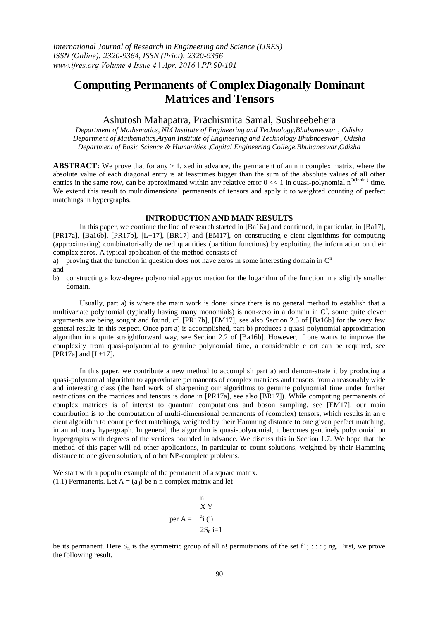# **Computing Permanents of Complex Diagonally Dominant Matrices and Tensors**

## Ashutosh Mahapatra, Prachismita Samal, Sushreebehera

*Department of Mathematics, NM Institute of Engineering and Technology,Bhubaneswar , Odisha Department of Mathematics,Aryan Institute of Engineering and Technology Bhubnaeswar , Odisha Department of Basic Science & Humanities ,Capital Engineering College,Bhubaneswar,Odisha*

**ABSTRACT:** We prove that for any  $> 1$ , xed in advance, the permanent of an n n complex matrix, where the absolute value of each diagonal entry is at leasttimes bigger than the sum of the absolute values of all other entries in the same row, can be approximated within any relative error  $0 \ll 1$  in quasi-polynomial  $n^{O(\tanh n)}$  time. We extend this result to multidimensional permanents of tensors and apply it to weighted counting of perfect matchings in hypergraphs.

### **INTRODUCTION AND MAIN RESULTS**

In this paper, we continue the line of research started in [Ba16a] and continued, in particular, in [Ba17], [PR17a], [Ba16b], [PR17b], [L+17], [BR17] and [EM17], on constructing e cient algorithms for computing (approximating) combinatori-ally de ned quantities (partition functions) by exploiting the information on their complex zeros. A typical application of the method consists of

a) proving that the function in question does not have zeros in some interesting domain in  $C<sup>n</sup>$ and

b) constructing a low-degree polynomial approximation for the logarithm of the function in a slightly smaller domain.

Usually, part a) is where the main work is done: since there is no general method to establish that a multivariate polynomial (typically having many monomials) is non-zero in a domain in  $C<sup>n</sup>$ , some quite clever arguments are being sought and found, cf. [PR17b], [EM17], see also Section 2.5 of [Ba16b] for the very few general results in this respect. Once part a) is accomplished, part b) produces a quasi-polynomial approximation algorithm in a quite straightforward way, see Section 2.2 of [Ba16b]. However, if one wants to improve the complexity from quasi-polynomial to genuine polynomial time, a considerable e ort can be required, see [PR17a] and [L+17].

In this paper, we contribute a new method to accomplish part a) and demon-strate it by producing a quasi-polynomial algorithm to approximate permanents of complex matrices and tensors from a reasonably wide and interesting class (the hard work of sharpening our algorithms to genuine polynomial time under further restrictions on the matrices and tensors is done in [PR17a], see also [BR17]). While computing permanents of complex matrices is of interest to quantum computations and boson sampling, see [EM17], our main contribution is to the computation of multi-dimensional permanents of (complex) tensors, which results in an e cient algorithm to count perfect matchings, weighted by their Hamming distance to one given perfect matching, in an arbitrary hypergraph. In general, the algorithm is quasi-polynomial, it becomes genuinely polynomial on hypergraphs with degrees of the vertices bounded in advance. We discuss this in Section 1.7. We hope that the method of this paper will nd other applications, in particular to count solutions, weighted by their Hamming distance to one given solution, of other NP-complete problems.

We start with a popular example of the permanent of a square matrix. (1.1) Permanents. Let  $A = (a_{ii})$  be n n complex matrix and let

$$
\begin{array}{c}\nn \\
X \ Y \\
\text{per } A = \begin{array}{c}\n\text{a}_i \\
\text{y}_i \\
\text{y}_n \\
\text{y}_n \\
\text{y}_n \\
\text{y}_n \\
\text{y}_n \\
\text{y}_n\n\end{array}\n\end{array}
$$

be its permanent. Here  $S_n$  is the symmetric group of all n! permutations of the set f1; : : : ; ng. First, we prove the following result.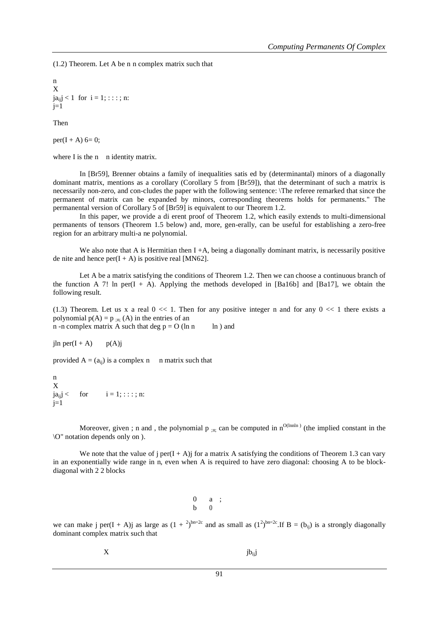(1.2) Theorem. Let A be n n complex matrix such that

n X  $ja_{ii}$  < 1 for  $i = 1$ ; : : : : n:  $j=1$ 

Then

 $per(I + A)$  6= 0;

where I is the n n identity matrix.

In [Br59], Brenner obtains a family of inequalities satis ed by (determinantal) minors of a diagonally dominant matrix, mentions as a corollary (Corollary 5 from [Br59]), that the determinant of such a matrix is necessarily non-zero, and con-cludes the paper with the following sentence: \The referee remarked that since the permanent of matrix can be expanded by minors, corresponding theorems holds for permanents." The permanental version of Corollary 5 of [Br59] is equivalent to our Theorem 1.2.

In this paper, we provide a di erent proof of Theorem 1.2, which easily extends to multi-dimensional permanents of tensors (Theorem 1.5 below) and, more, gen-erally, can be useful for establishing a zero-free region for an arbitrary multi-a ne polynomial.

We also note that A is Hermitian then  $I + A$ , being a diagonally dominant matrix, is necessarily positive de nite and hence  $per(I + A)$  is positive real [MN62].

Let A be a matrix satisfying the conditions of Theorem 1.2. Then we can choose a continuous branch of the function A 7! In per $(I + A)$ . Applying the methods developed in [Ba16b] and [Ba17], we obtain the following result.

(1.3) Theorem. Let us x a real  $0 \ll 1$ . Then for any positive integer n and for any  $0 \ll 1$  there exists a polynomial  $p(A) = p_{n}: (A)$  in the entries of an n -n complex matrix A such that deg  $p = O (ln n \ \ ln)$  and

jln per $(I + A)$  p(A)j

provided  $A = (a_{ii})$  is a complex n n matrix such that

n X jaijj < for i = 1; : : : ; n:  $j=1$ 

Moreover, given ; n and , the polynomial  $p_{;n}$ ; can be computed in  $n^{O(\text{lnn} n)}$  (the implied constant in the \O" notation depends only on ).

We note that the value of j per( $I + A$ )j for a matrix A satisfying the conditions of Theorem 1.3 can vary in an exponentially wide range in n, even when A is required to have zero diagonal: choosing A to be blockdiagonal with 2 2 blocks

> 0 a ; b 0

we can make j per(I + A)j as large as  $(1 + \lambda)^{bn=2c}$  and as small as  $(1^2)^{bn=2c}$ . If  $B = (b_{ij})$  is a strongly diagonally dominant complex matrix such that

| X | jb <sub>ij</sub> j |
|---|--------------------|
|---|--------------------|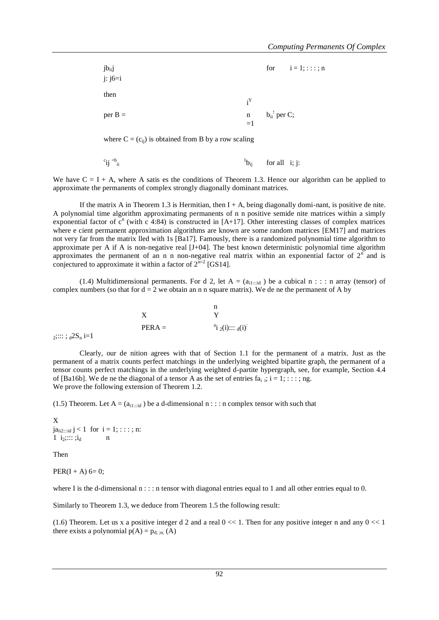| jb <sub>ii</sub> j<br>$\overline{j}$ : $\overline{j}$ 6=i |                           |                                                                                                   | for $i = 1; \dots; n$ |
|-----------------------------------------------------------|---------------------------|---------------------------------------------------------------------------------------------------|-----------------------|
| then                                                      | $\mathbf{i}^{\mathbf{Y}}$ |                                                                                                   |                       |
| $per B =$                                                 |                           | $\begin{aligned}\n\text{n} & \text{b}_{\text{ii}}^{\text{!}} \text{ per C;} \\ =1\n\end{aligned}$ |                       |

where  $C = (c_{ii})$  is obtained from B by a row scaling

$$
c_{ij} = b_{ii}
$$
 for all i; j:

We have  $C = I + A$ , where A satis es the conditions of Theorem 1.3. Hence our algorithm can be applied to approximate the permanents of complex strongly diagonally dominant matrices.

If the matrix A in Theorem 1.3 is Hermitian, then  $I + A$ , being diagonally domi-nant, is positive de nite. A polynomial time algorithm approximating permanents of n n positive semide nite matrices within a simply exponential factor of  $c^n$  (with c 4:84) is constructed in [A+17]. Other interesting classes of complex matrices where e cient permanent approximation algorithms are known are some random matrices [EM17] and matrices not very far from the matrix lled with 1s [Ba17]. Famously, there is a randomized polynomial time algorithm to approximate per A if A is non-negative real [J+04]. The best known deterministic polynomial time algorithm approximates the permanent of an n n non-negative real matrix within an exponential factor of  $2<sup>n</sup>$  and is conjectured to approximate it within a factor of  $2^{n=2}$  [GS14].

(1.4) Multidimensional permanents. For d 2, let  $A = (a_{i1::id})$  be a cubical  $n :: n$  array (tensor) of complex numbers (so that for  $d = 2$  we obtain an n n square matrix). We de ne the permanent of A by

|           |          | n                        |
|-----------|----------|--------------------------|
|           |          |                          |
|           | $PERA =$ | $a_{i_2(i)} \cdots a(i)$ |
| $.2S$ i-1 |          |                          |

 $_{2}$ ;::: ;  $_{d}2S_{n}$  i=1

Clearly, our de nition agrees with that of Section 1.1 for the permanent of a matrix. Just as the permanent of a matrix counts perfect matchings in the underlying weighted bipartite graph, the permanent of a tensor counts perfect matchings in the underlying weighted d-partite hypergraph, see, for example, Section 4.4 of [Ba16b]. We de ne the diagonal of a tensor A as the set of entries  $fa_i$ ;  $i = 1$ ; : : : ; ng. We prove the following extension of Theorem 1.2.

(1.5) Theorem. Let A =  $(a_{i1::id})$  be a d-dimensional n : : : n complex tensor with such that

X  $ja_{ii2...id} j < 1$  for  $i = 1; ...; n$ : 1  $i_2$ ;::: ; $i_d$  n

Then

 $PER(I + A) 6 = 0;$ 

where I is the d-dimensional  $n : \cdot :$  n tensor with diagonal entries equal to 1 and all other entries equal to 0.

Similarly to Theorem 1.3, we deduce from Theorem 1.5 the following result:

(1.6) Theorem. Let us x a positive integer d 2 and a real  $0 \ll 1$ . Then for any positive integer n and any  $0 \ll 1$ there exists a polynomial  $p(A) = p_{d; m}$ ; (A)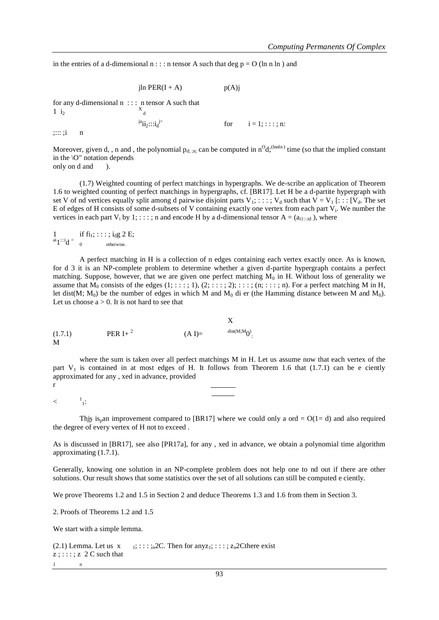in the entries of a d-dimensional  $n$ : : : n tensor A such that deg  $p = O$  (ln n ln) and

jln PER(I + A)  $p(A)$ j for any d-dimensional n : : : n tensor A such that  $1$  i<sub>2</sub> X d  $j^a$ ii<sub>2</sub>:::i<sub>d</sub><sup>j<</sup> for  $i = 1$ ; : : : ; n: ;::: ;i n

Moreover, given d, , n and , the polynomial  $p_{d; m}$  can be computed in  $n^O d;^{(Innln)}$  time (so that the implied constant in the \O" notation depends only on d and ).

(1.7) Weighted counting of perfect matchings in hypergraphs. We de-scribe an application of Theorem 1.6 to weighted counting of perfect matchings in hypergraphs, cf. [BR17]. Let H be a d-partite hypergraph with set V of nd vertices equally split among d pairwise disjoint parts V<sub>1</sub>; : : : ; V<sub>d</sub> such that V = V<sub>1</sub> [: : : [V<sub>d</sub>. The set E of edges of H consists of some d-subsets of V containing exactly one vertex from each part V<sub>i</sub>. We number the vertices in each part  $V_i$  by 1; :: :; n and encode H by a d-dimensional tensor  $A = (a_{i1::id})$ , where

if  $fi_1$ ; : : : ;  $i_d$ g 2 E;  $a$ i $1$ :::i $d =$ otherwise.

A perfect matching in H is a collection of n edges containing each vertex exactly once. As is known, for d 3 it is an NP-complete problem to determine whether a given d-partite hypergraph contains a perfect matching. Suppose, however, that we are given one perfect matching  $M_0$  in H. Without loss of generality we assume that  $M_0$  consists of the edges  $(1; \ldots; 1), (2; \ldots; 2); \ldots; (n; \ldots; n)$ . For a perfect matching M in H, let dist(M;  $M_0$ ) be the number of edges in which M and  $M_0$  di er (the Hamming distance between M and  $M_0$ ). Let us choose  $a > 0$ . It is not hard to see that

(1.7.1) 
$$
PER I + \n2
$$
  $(A I) = \n\begin{cases} \nX & \text{dist}(M;M_0) \\
\text{dist}(M;M_0) & \text{dist}(M;M_0) \\
\text{dist}(M;M_0) & \text{dist}(M;M_0) \\
\text{dist}(M;M_0) & \text{dist}(M;M_0) \\
\text{dist}(M;M_0) & \text{dist}(M;M_0) \\
\text{dist}(M;M_0) & \text{dist}(M;M_0) \\
\text{dist}(M;M_0) & \text{dist}(M;M_0) \\
\text{dist}(M;M_0) & \text{dist}(M;M_0) \\
\text{dist}(M;M_0) & \text{dist}(M;M_0) \\
\text{dist}(M;M_0) & \text{dist}(M;M_0) \\
\text{dist}(M;M_0) & \text{dist}(M;M_0) \\
\text{dist}(M;M_0) & \text{dist}(M;M_0) \\
\text{dist}(M;M_0) & \text{dist}(M;M_0) \\
\text{dist}(M;M_0) & \text{dist}(M;M_0) \\
\text{dist}(M;M_0) & \text{dist}(M;M_0) \\
\text{dist}(M;M_0) & \text{dist}(M;M_0) \\
\text{dist}(M;M_0) & \text{dist}(M;M_0) \\
\text{dist}(M;M_0) & \text{dist}(M;M_0) \\
\text{dist}(M;M_0) & \text{dist}(M;M_0) \\
\text{dist}(M;M_0) & \text{dist}(M;M_0) \\
\text{dist}(M;M_0) & \text{dist}(M;M_0) \\
\text{dist}(M;M_0) & \text{dist}(M;M_0) \\
\text{dist}(M;M_0) & \text{dist}(M;M_0) \\
\text{dist}(M;M_0) & \text{dist}(M;M_0) \\
\text{dist}(M;M_0) & \text{dist}(M;M_0) \\
\text{dist}(M;M_0) & \text{dist}(M;M_0) \\
\text{dist}(M;M_0) & \text{dist}(M;M_0) \\
\text{dist}(M;M_0) & \text{dist}(M;M_0) \\
\text{dist}(M;M_0) &$ 

where the sum is taken over all perfect matchings M in H. Let us assume now that each vertex of the part  $V_1$  is contained in at most edges of H. It follows from Theorem 1.6 that (1.7.1) can be e ciently approximated for any , xed in advance, provided r

 $\,<$  $\frac{1}{1}$ :

This is<sub>p</sub>an improvement compared to [BR17] where we could only a ord =  $O(1-d)$  and also required the degree of every vertex of H not to exceed .

As is discussed in [BR17], see also [PR17a], for any , xed in advance, we obtain a polynomial time algorithm approximating (1.7.1).

Generally, knowing one solution in an NP-complete problem does not help one to nd out if there are other solutions. Our result shows that some statistics over the set of all solutions can still be computed e ciently.

We prove Theorems 1.2 and 1.5 in Section 2 and deduce Theorems 1.3 and 1.6 from them in Section 3.

2. Proofs of Theorems 1.2 and 1.5

We start with a simple lemma.

```
(2.1) Lemma. Let us x = 1; \cdots;<sub>n</sub>2C. Then for anyz<sub>1</sub>; \cdots; z<sub>n</sub>2Cthere exist
z; :: :; z 2 C such that
1\qquad\qquad n
```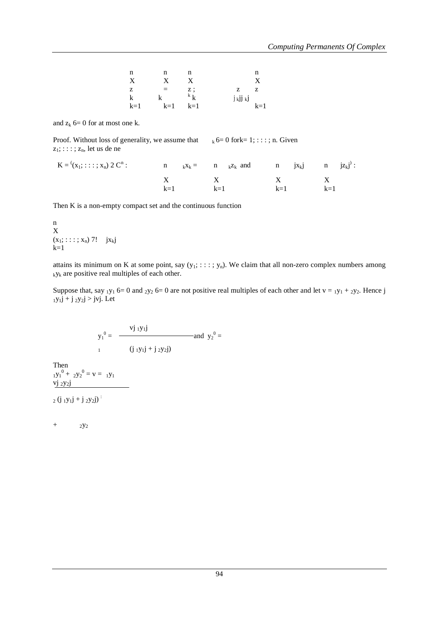| n     | n        | n       |          | n     |
|-------|----------|---------|----------|-------|
| X     | X        | X       |          | X     |
| z     | $\equiv$ | z ;     | z        | z     |
| k     | k        | $k$ $k$ | j kJJ kJ |       |
| $k=1$ | $k=1$    | $k=1$   |          | $k=1$ |

and  $z_k$  6= 0 for at most one k.

Proof. Without loss of generality, we assume that  $k_6= 0$  for  $k= 1$ ; : : : ; n. Given  $z_1$ ; : : : ;  $z_n$ , let us de ne

| $K = (x_1; \ldots; x_n) 2 C^n$ : |       |       | n $_kx_k = n$ $_kz_k$ and n $jx_kj$ n $jz_kj$ . |       |       |  |
|----------------------------------|-------|-------|-------------------------------------------------|-------|-------|--|
|                                  | $k=1$ | $k=1$ |                                                 | $k=1$ | $k=1$ |  |

Then K is a non-empty compact set and the continuous function

n X  $(x_1; \ldots; x_n)$  7!  $jx_{kj}$  $k=1$ 

attains its minimum on K at some point, say  $(y_1; \ldots; y_n)$ . We claim that all non-zero complex numbers among  $k$ y<sub>k</sub> are positive real multiples of each other.

Suppose that, say  $_1y_1$  6= 0 and  $_2y_2$  6= 0 are not positive real multiples of each other and let  $v = _1y_1 + _2y_2$ . Hence j  $_1y_1j + j_2y_2j > jvj$ . Let

$$
y_1^0 =
$$
 
$$
\frac{vj_1y_1j}{(j_1y_1j + j_2y_2j)}
$$
 and  $y_2^0 =$ 

Then  $1y_1^0 + 2y_2^0 = v = 1y_1$ vj 2y2j

 $2(j_1y_1j + j_2y_2j)$ 

 $+$  2y<sub>2</sub>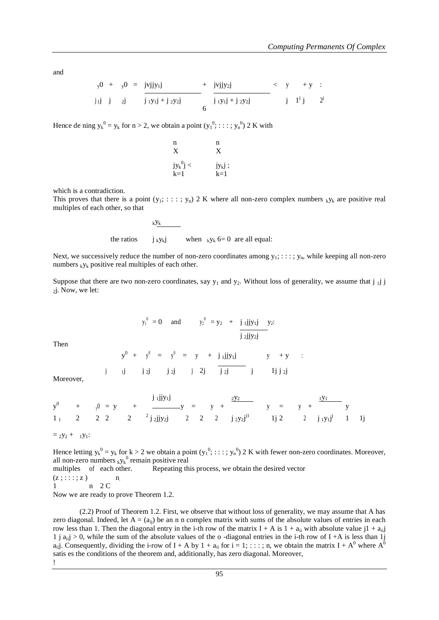and

j <sup>y</sup>0 + <sup>y</sup>0 = jvjjy1j + jvjjy2j < y 1 j + y : <sup>1</sup>j j <sup>2</sup>j j 1y1j + j 2y2j 6 j 1y1j + j 2y2j j j 2 j

Hence de ning  $y_k^0 = y_k$  for  $n > 2$ , we obtain a point  $(y_1^0; \dots; y_n^0)$  2 K with

j<br>k

$$
\begin{array}{ll}\n\text{n} & \text{n} \\
\text{X} & \text{X} \\
\text{jy}_{k}^{0}j < \text{jy}_{k}j \\
\text{k=1} & \text{k=1}\n\end{array}
$$

which is a contradiction.

the

This proves that there is a point  $(y_1; : : :; y_n)$  2 K where all non-zero complex numbers  $_k y_k$  are positive real multiples of each other, so that

$$
\begin{array}{ccc}\n\text{ky}_k & \text{with } \\
\text{ky}_k & \text{with } \\
\text{y}_k & \text{with } \\
\text{y}_k & \text{with } \\
\text{y}_k & \text{with } \\
\text{y}_k & \text{with } \\
\text{y}_k & \text{with } \\
\text{y}_k & \text{with } \\
\text{y}_k & \text{with } \\
\text{y}_k & \text{with } \\
\text{y}_k & \text{with } \\
\text{y}_k & \text{with } \\
\text{y}_k & \text{with } \\
\text{y}_k & \text{with } \\
\text{y}_k & \text{with } \\
\text{y}_k & \text{with } \\
\text{y}_k & \text{with } \\
\text{y}_k & \text{with } \\
\text{y}_k & \text{with } \\
\text{y}_k & \text{with } \\
\text{y}_k & \text{with } \\
\text{y}_k & \text{with } \\
\text{y}_k & \text{with } \\
\text{y}_k & \text{with } \\
\text{y}_k & \text{with } \\
\text{y}_k & \text{with } \\
\text{y}_k & \text{with } \\
\text{y}_k & \text{with } \\
\text{y}_k & \text{with } \\
\text{y}_k & \text{with } \\
\text{y}_k & \text{with } \\
\text{y}_k & \text{with } \\
\text{y}_k & \text{with } \\
\text{y}_k & \text{with } \\
\text{y}_k & \text{with } \\
\text{y}_k & \text{with } \\
\text{y}_k & \text{with } \\
\text{y}_k & \text{with } \\
\text{y}_k & \text{with } \\
\text{y}_k & \text{with } \\
\text{y}_k & \text{with } \\
\text{y}_k & \text{with } \\
\text{y}_k & \text{with } \\
\text{y}_k & \text{with } \\
\text{y}_k & \text{with } \\
\text{y}_k & \text{with } \\
\text{y}_k & \text{with } \\
\text{y}_k & \text{with } \\
\text{y}_k & \text{with } \\
\text{y}_k & \text{with } \\
\text{y}_k & \text{with } \\
\text{y}_k & \text{with } \\
\text{y}_k & \text{with } \\
\text{y}_k & \text{with } \\
\text{y}_k & \text{with } \\
\text{y}_k & \text{with } \\
\text{y}_k & \text{with } \\
\text{y}_k & \text{with
$$

Next, we successively reduce the number of non-zero coordinates among  $y_1$ ; : : : ;  $y_n$ , while keeping all non-zero numbers  $k_y$  positive real multiples of each other.

Suppose that there are two non-zero coordinates, say  $y_1$  and  $y_2$ . Without loss of generality, we assume that j ij j <sup>2</sup>j. Now, we let:

$$
y_1^0 = 0
$$
 and  $y_2^0 = y_2 + j_1 j j y_1 j y_2$ :  
 $\frac{j_1 j j y_2 j}{j_2 j j y_2 j}$ 

Then

$$
y^{0} + y^{0} = y^{0} = y + j_{1}j_{1}j_{1}j_{1} \t y + y ;
$$
  
j j j j j j j j j j j j j j j j j j j j j j j j j j j j j j

Moreover,

$$
y^{0} + y^{0} = y + \frac{j_{1}jjy_{1}j}{\frac{1}{2}jjy_{2}j} = y + \frac{\frac{2y_{2}}{2}}{j_{2}y_{2}j^{1}} + y = y + \frac{\frac{1}{y_{1}}}{j_{2}y_{2}j} = y + \frac{\frac{1}{y_{1}}}{j_{1}y_{1}j} - y = y + \frac{\frac{1}{y_{1}}}{j_{1}y_{1}j} = y + \frac{\frac{1}{y_{1}}}{j_{1}y_{1}j} = y + \frac{\frac{1}{y_{1}}}{j_{1}y_{1}j} = y + \frac{\frac{1}{y_{1}}}{j_{1}y_{1}j} = y + \frac{\frac{1}{y_{1}}}{j_{1}y_{1}j} = y + \frac{\frac{1}{y_{1}}}{j_{1}y_{1}j} = y + \frac{\frac{1}{y_{1}}}{j_{1}y_{1}j} = y + \frac{\frac{1}{y_{1}}}{j_{1}y_{1}j} = y + \frac{\frac{1}{y_{1}}}{j_{1}y_{1}j} = y + \frac{\frac{1}{y_{1}}}{j_{1}y_{1}j} = y + \frac{\frac{1}{y_{1}}}{j_{1}y_{1}j} = y + \frac{\frac{1}{y_{1}}}{j_{1}y_{1}j} = y + \frac{\frac{1}{y_{1}}}{j_{1}y_{1}j} = y + \frac{\frac{1}{y_{1}}}{j_{1}y_{1}j} = y + \frac{\frac{1}{y_{1}}}{j_{1}y_{1}j} = y + \frac{\frac{1}{y_{1}}}{j_{1}y_{1}j} = y + \frac{\frac{1}{y_{1}}}{j_{1}y_{1}j} = y + \frac{\frac{1}{y_{1}}}{j_{1}y_{1}j} = y + \frac{\frac{1}{y_{1}}}{j_{1}y_{1}j} = y + \frac{\frac{1}{y_{1}}}{j_{1}y_{1}j} = y + \frac{\frac{1}{y_{1}}}{j_{1}y_{1}j} = y + \frac{\frac{1}{y_{1}}}{j_{1}y_{1}j} = y + \frac{\frac{1}{y_{1}}}{j_{1}y_{1}j} = y + \frac{\frac{1}{y_{1}}}{j_{1}y_{1}j} = y + \frac{\frac{1}{y_{1}}}{j_{1}y_{1}j} = y + \frac{\frac{1}{y_{
$$

 $= 2y_2 + 1y_1$ :

Hence letting  $y_k^0 = y_k$  for  $k > 2$  we obtain a point  $(y_1^0; \dots; y_n^0)$  2 K with fewer non-zero coordinates. Moreover, all non-zero numbers  $_k y_k^0$  remain positive real multiples of each other. Repeating this process, we obtain the desired vector

 $(z$ ; :::; z ) n.

1 n 2 C

Now we are ready to prove Theorem 1.2.

(2.2) Proof of Theorem 1.2. First, we observe that without loss of generality, we may assume that A has zero diagonal. Indeed, let  $A = (a_{ij})$  be an n n complex matrix with sums of the absolute values of entries in each row less than 1. Then the diagonal entry in the i-th row of the matrix I + A is  $1 + a_{ii}$  with absolute value  $j1 + a_{ii}$ 1 j  $a_{ii}$  > 0, while the sum of the absolute values of the o-diagonal entries in the i-th row of I +A is less than 1j a<sub>ii</sub>j. Consequently, dividing the i-row of I + A by 1 + a<sub>ii</sub> for i = 1; : : : ; n, we obtain the matrix I + A<sup>0</sup> where A<sup>0</sup> satis es the conditions of the theorem and, additionally, has zero diagonal. Moreover, !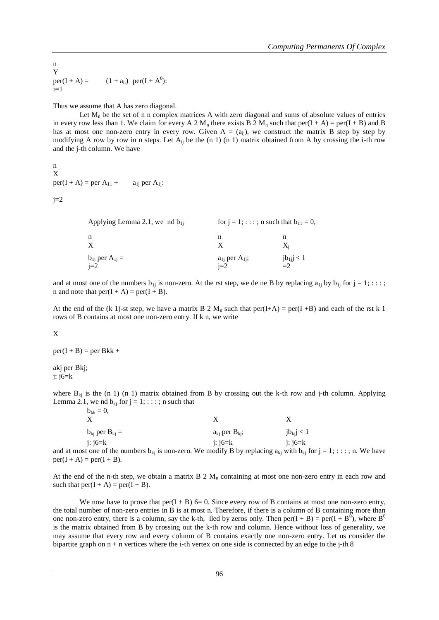n Y per(I + A) =  $(1 + a_{ii})$  per(I + A<sup>0</sup>):  $i=1$ 

Thus we assume that A has zero diagonal.

Let  $M_n$  be the set of n n complex matrices A with zero diagonal and sums of absolute values of entries in every row less than 1. We claim for every A 2  $M_n$  there exists B 2  $M_n$  such that per(I + A) = per(I + B) and B has at most one non-zero entry in every row. Given  $A = (a_{ii})$ , we construct the matrix B step by step by modifying A row by row in n steps. Let  $A_{ii}$  be the (n 1) (n 1) matrix obtained from A by crossing the i-th row and the j-th column. We have

n X per(I + A) = per  $A_{11}$  +  $a_{1i}$  per  $A_{1i}$ :

 $i=2$ 

| Applying Lemma 2.1, we nd $b_{1i}$ | for $j = 1$ ; : : : ; n such that $b_{11} = 0$ , |                       |  |  |
|------------------------------------|--------------------------------------------------|-----------------------|--|--|
| n<br>X                             | n                                                | n<br>X.               |  |  |
| $b_{1i}$ per $A_{1i} =$<br>$j=2$   | $a_{1i}$ per $A_{1i}$ ;<br>$i=2$                 | $jb_{1j}$ < 1<br>$=2$ |  |  |

and at most one of the numbers  $b_{1j}$  is non-zero. At the rst step, we de ne B by replacing  $a_{1j}$  by  $b_{1j}$  for  $j = 1; \ldots;$ n and note that  $per(I + A) = per(I + B)$ .

At the end of the (k 1)-st step, we have a matrix B 2 M<sub>n</sub> such that per(I+A) = per(I+B) and each of the rst k 1 rows of B contains at most one non-zero entry. If k n, we write

X

 $per(I + B) = per Bkk +$ 

akj per Bkj; j: j6=k

where  $B_{ki}$  is the (n 1) (n 1) matrix obtained from B by crossing out the k-th row and j-th column. Applying Lemma 2.1, we nd  $b_{ki}$  for  $j = 1$ ; : : : ; n such that  $\mathbf{b} = 0$ 

| $v_{kk} - v$ ,          |                                                                                                                    |                |  |
|-------------------------|--------------------------------------------------------------------------------------------------------------------|----------------|--|
| $b_{ki}$ per $B_{ki}$ = | $a_{ki}$ per $B_{ki}$ ;                                                                                            | $jb_{ki}j < 1$ |  |
| i: $i6=k$               | i: $i6=k$                                                                                                          | i: $i6=k$      |  |
|                         | most one of the numbers $\mathbf{b}$ is non-zero. We modify D by replacing a with $\mathbf{b}$ for $i = 1, \ldots$ |                |  |

and at most one of the numbers  $b_{kj}$  is non-zero. We modify B by replacing  $a_{kj}$  with  $b_{kj}$  for  $j = 1; \dots; n$ . We have  $per(I + A) = per(I + B).$ 

At the end of the n-th step, we obtain a matrix  $B \ 2 M_n$  containing at most one non-zero entry in each row and such that  $per(I + A) = per(I + B)$ .

We now have to prove that  $per(I + B)$  6= 0. Since every row of B contains at most one non-zero entry, the total number of non-zero entries in B is at most n. Therefore, if there is a column of B containing more than one non-zero entry, there is a column, say the k-th, lled by zeros only. Then  $per(I + B) = per(I + B^0)$ , where  $B^0$ is the matrix obtained from B by crossing out the k-th row and column. Hence without loss of generality, we may assume that every row and every column of B contains exactly one non-zero entry. Let us consider the bipartite graph on  $n + n$  vertices where the i-th vertex on one side is connected by an edge to the j-th 8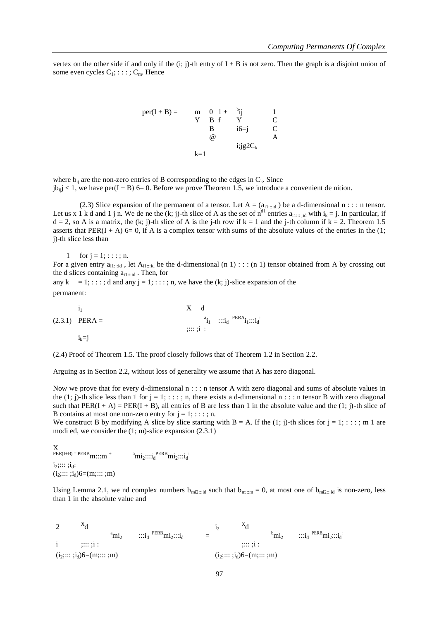vertex on the other side if and only if the  $(i; j)$ -th entry of  $I + B$  is not zero. Then the graph is a disjoint union of some even cycles  $C_1$ ; : : : ;  $C_m$ . Hence

per(I + B) = m  
\nY B f Y C  
\nB i6=j C  
\n
$$
\omega
$$
  
\n $k=1$   
\nB ii j g 2C<sub>k</sub>

where  $b_{ii}$  are the non-zero entries of B corresponding to the edges in  $C_k$ . Since  $jb_{i,j} < 1$ , we have per(I + B) 6= 0. Before we prove Theorem 1.5, we introduce a convenient de nition.

(2.3) Slice expansion of the permanent of a tensor. Let  $A = (a_{i1::id})$  be a d-dimensional  $n :: n$  tensor. Let us x 1 k d and 1 j n. We de ne the  $(k; j)$ -th slice of A as the set of  $n^{d_1}$  entries  $a_{i1}$ <sub>1</sub>;  $i$ <sub>id</sub> with  $i_k = j$ . In particular, if  $d = 2$ , so A is a matrix, the (k; j)-th slice of A is the j-th row if  $k = 1$  and the j-th column if  $k = 2$ . Theorem 1.5 asserts that PER(I + A) 6= 0, if A is a complex tensor with sums of the absolute values of the entries in the  $(1;$ j)-th slice less than

1 for  $j = 1; ...; n$ . For a given entry  $a_{i_1\ldots i_d}$ , let  $A_{i_1\ldots i_d}$  be the d-dimensional (n 1) : : : (n 1) tensor obtained from A by crossing out the d slices containing  $a_{i1::id}$ . Then, for any  $k = 1; \ldots; d$  and any  $j = 1; \ldots; n$ , we have the  $(k; j)$ -slice expansion of the permanent:

$$
\begin{array}{cccc}\n\mathbf{i}_1 & & & \mathbf{X} & \mathbf{d} \\
\mathbf{1}_{11} & & & \mathbf{1}_{12} & \cdots & \mathbf{i}_d \\
\mathbf{i}_1 & \cdots & & & \mathbf{i}_d \\
\mathbf{i}_k = \mathbf{j} & & & & \mathbf{i}_d\n\end{array}
$$
\n
$$
\begin{array}{cccc}\n\mathbf{X} & \mathbf{d} & & & \\
\mathbf{a}_1 & \cdots & & & \mathbf{i}_d & \mathbf{PERA}_{11} \cdots & \mathbf{i}_d \\
\mathbf{i}_k = \mathbf{j} & & & & \n\end{array}
$$

(2.4) Proof of Theorem 1.5. The proof closely follows that of Theorem 1.2 in Section 2.2.

Arguing as in Section 2.2, without loss of generality we assume that A has zero diagonal.

Now we prove that for every d-dimensional  $n : \cdot :$  n tensor A with zero diagonal and sums of absolute values in the  $(1; j)$ -th slice less than 1 for  $j = 1; \ldots; n$ , there exists a d-dimensional  $n : \ldots$  tensor B with zero diagonal such that  $PER(I + A) = PER(I + B)$ , all entries of B are less than 1 in the absolute value and the (1; j)-th slice of B contains at most one non-zero entry for  $j = 1; \dots; n$ .

We construct B by modifying A slice by slice starting with B = A. If the  $(1; j)$ -th slices for  $j = 1; \ldots; m 1$  are modi ed, we consider the (1; m)-slice expansion (2.3.1)

X  $PER(I+B) = PERB$  $m:::m$ <sup>+</sup>  $PERB$  $m i_2$ ::: $i_d$ <sup>:</sup>  $i_2$ :::: ; $i_d$ :  $(i_2; \ldots; i_d)6 = (m; \ldots; m)$ 

Using Lemma 2.1, we nd complex numbers  $b_{mi2::id}$  such that  $b_{mi::m} = 0$ , at most one of  $b_{mi2::id}$  is non-zero, less than 1 in the absolute value and

2  $x_d$  $\mathrm{a}_{\mathrm{m}i_2}$  ::: $i_{\mathrm{d}}$   $\mathrm{PERB}_{\mathrm{m}i_2}$ ::: $i_{\mathrm{d}}$  =  $1<sub>2</sub>$  $x_d$  $^{b}$ mi<sub>2</sub>  $PERB$  $mi_2$ ::: $i_d$ i ;::: ;i : ;::: ;i :  $(i_2; \ldots; i_d)6 = (m; \ldots; m)$  ( $i_2; \ldots; i_d)6 = (m; \ldots; m)$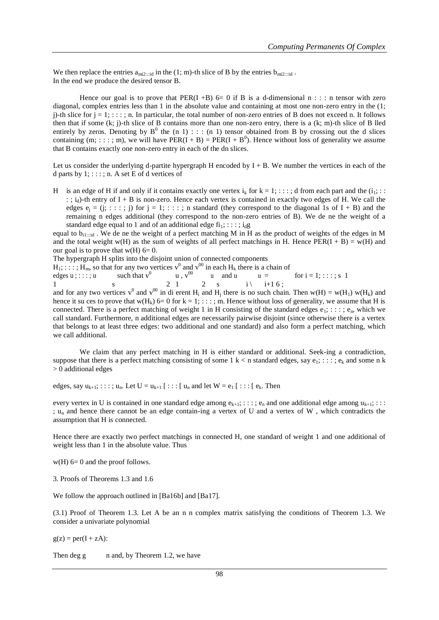We then replace the entries  $a_{mi2\cdots id}$  in the (1; m)-th slice of B by the entries  $b_{mi2\cdots id}$ . In the end we produce the desired tensor B.

Hence our goal is to prove that PER(I +B)  $6=0$  if B is a d-dimensional n : : : n tensor with zero diagonal, complex entries less than 1 in the absolute value and containing at most one non-zero entry in the  $(1;$ j)-th slice for  $j = 1$ ; ::; n. In particular, the total number of non-zero entries of B does not exceed n. It follows then that if some (k; j)-th slice of B contains more than one non-zero entry, there is a (k; m)-th slice of B lled entirely by zeros. Denoting by  $B^0$  the (n 1) : : : (n 1) tensor obtained from B by crossing out the d slices containing  $(m; \ldots; m)$ , we will have PER(I + B) = PER(I + B<sup>0</sup>). Hence without loss of generality we assume that B contains exactly one non-zero entry in each of the dn slices.

Let us consider the underlying d-partite hypergraph H encoded by  $I + B$ . We number the vertices in each of the d parts by  $1$ ; ::;; n. A set E of d vertices of

H is an edge of H if and only if it contains exactly one vertex  $i_k$  for  $k = 1$ ; ::;; d from each part and the  $(i_1;$ : : ;  $i_d$ )-th entry of I + B is non-zero. Hence each vertex is contained in exactly two edges of H. We call the edges  $e_i = (j; \dots; j)$  for  $j = 1; \dots; n$  standard (they correspond to the diagonal 1s of I + B) and the remaining n edges additional (they correspond to the non-zero entries of B). We de ne the weight of a standard edge equal to 1 and of an additional edge  $f_1$ ; : : : ;  $i_d$ g

equal to  $b_{i_1\cdots i_d}$ . We de ne the weight of a perfect matching M in H as the product of weights of the edges in M and the total weight w(H) as the sum of weights of all perfect matchings in H. Hence  $PER(I + B) = w(H)$  and our goal is to prove that  $w(H)$  6= 0.

The hypergraph H splits into the disjoint union of connected components

 $H_1$ ; : : : ;  $H_m$ , so that for any two vertices  $v^0$  and  $v^{00}$  in each  $H_k$  there is a chain of

edges  $u$ ; ::;; u s such that  $v^0$ 2 1  $u$  ,  $v^{00}$ 2 u and u s  $i \setminus$  $u =$  for  $i = 1; \ldots; s$  1 1 1 i+1 6 ;

and for any two vertices  $v^0$  and  $v^{00}$  in di erent H<sub>i</sub> and H<sub>j</sub> there is no such chain. Then  $w(H) = w(H_1) w(H_k)$  and hence it su ces to prove that  $w(H_k)$  6= 0 for k = 1; : : : ; m. Hence without loss of generality, we assume that H is connected. There is a perfect matching of weight 1 in H consisting of the standard edges  $e_1$ ; : : : ;  $e_n$ , which we call standard. Furthermore, n additional edges are necessarily pairwise disjoint (since otherwise there is a vertex that belongs to at least three edges: two additional and one standard) and also form a perfect matching, which we call additional.

We claim that any perfect matching in H is either standard or additional. Seek-ing a contradiction, suppose that there is a perfect matching consisting of some  $1 \text{ k} < n$  standard edges, say  $e_1$ ; : : ;  $e_k$  and some n k  $> 0$  additional edges

edges, say  $u_{k+1}$ ; :::;  $u_n$ . Let  $U = u_{k+1}$  [::: [  $u_n$  and let  $W = e_1$  [::: [  $e_k$ . Then

every vertex in U is contained in one standard edge among  $e_{k+1}$ ; :::;  $e_n$  and one additional edge among  $u_{k+1}$ ; ::: ;  $u_n$  and hence there cannot be an edge contain-ing a vertex of U and a vertex of W, which contradicts the assumption that H is connected.

Hence there are exactly two perfect matchings in connected H, one standard of weight 1 and one additional of weight less than 1 in the absolute value. Thus

 $w(H)$  6= 0 and the proof follows.

3. Proofs of Theorems 1.3 and 1.6

We follow the approach outlined in [Ba16b] and [Ba17].

(3.1) Proof of Theorem 1.3. Let A be an n n complex matrix satisfying the conditions of Theorem 1.3. We consider a univariate polynomial

 $g(z) = \text{per}(I + zA)$ :

Then deg g n and, by Theorem 1.2, we have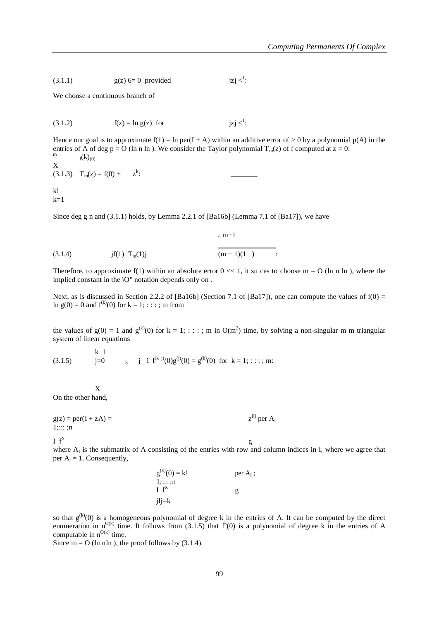$$
(3.1.1) \t\t g(z) 6=0 \t provided \t jzj <1:
$$

We choose a continuous branch of

(3.1.2) 
$$
f(z) = \ln g(z)
$$
 for  $jzj <^1$ :

Hence our goal is to approximate  $f(1) = \ln \text{per}(I + A)$  within an additive error of  $> 0$  by a polynomial  $p(A)$  in the entries of A of deg p = O (ln n ln ). We consider the Taylor polynomial  $T_m(z)$  of f computed at  $z = 0$ : m  $f(k)_{(0)}$ X

 $(3.1.3)$   $T_m(z) = f(0) +$ k : k!  $k=1$ 

Since deg g n and  $(3.1.1)$  holds, by Lemma 2.2.1 of [Ba16b] (Lemma 7.1 of [Ba17]), we have

(3.1.4) 
$$
jf(1) T_m(1)j
$$
  $\frac{n^{m+1}}{(m+1)(1)}$ .

Therefore, to approximate f(1) within an absolute error  $0 \ll 1$ , it su ces to choose m = O (ln n ln), where the implied constant in the \O" notation depends only on .

Next, as is discussed in Section 2.2.2 of [Ba16b] (Section 7.1 of [Ba17]), one can compute the values of  $f(0) =$ ln  $g(0) = 0$  and  $f^{(k)}(0)$  for  $k = 1; \dots; m$  from

the values of  $g(0) = 1$  and  $g^{(k)}(0)$  for  $k = 1; \dots; m$  in  $O(m^2)$  time, by solving a non-singular m m triangular system of linear equations

(3.1.5) 
$$
\begin{aligned}\n &\text{k} 1 \\
 &\text{j} 0\n \end{aligned}
$$
\n
$$
\begin{aligned}\n &\text{k} 1 \\
 &\text{j} 1 \text{ f}^{(k \text{ j})}(0)g^{(j)}(0) = g^{(k)}(0) \text{ for } k = 1; \text{ : : : ; m:}\n \end{aligned}
$$

X On the other hand,

 $g(z) = per(I + zA) =$  $z^{jIj}$  per  $A_I$  $1;::::;$ ;n I  $f^x$  g  $I \text{ } f^X$ 

where  $A<sub>I</sub>$  is the submatrix of A consisting of the entries with row and column indices in I, where we agree that per  $A_i = 1$ . Consequently,

| $g^{(k)}(0) = k!$      | per $A_I$ ; |
|------------------------|-------------|
| $1:::::$ ;n<br>$I f^X$ | g           |
| jIj=k                  |             |

so that  $g^{(k)}(0)$  is a homogeneous polynomial of degree k in the entries of A. It can be computed by the direct enumeration in  $n^{O(k)}$  time. It follows from (3.1.5) that  $f^k(0)$  is a polynomial of degree k in the entries of A computable in  $n^{O(k)}$  time.

Since  $m = O$  (ln nln), the proof follows by (3.1.4).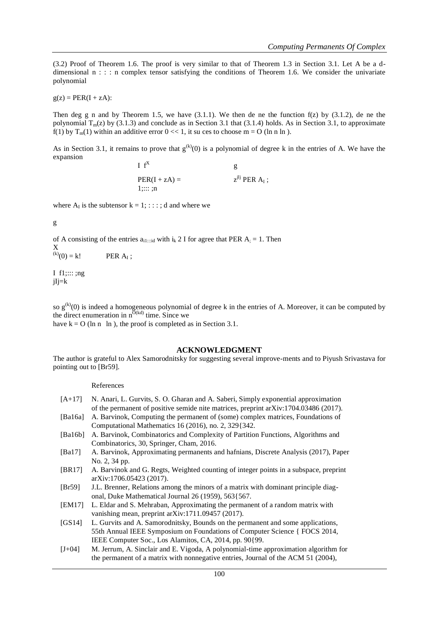(3.2) Proof of Theorem 1.6. The proof is very similar to that of Theorem 1.3 in Section 3.1. Let A be a ddimensional  $n : :$ : n complex tensor satisfying the conditions of Theorem 1.6. We consider the univariate polynomial

 $g(z) = PER(I + zA)$ :

Then deg g n and by Theorem 1.5, we have  $(3.1.1)$ . We then de ne the function  $f(z)$  by  $(3.1.2)$ , de ne the polynomial  $T_m(z)$  by (3.1.3) and conclude as in Section 3.1 that (3.1.4) holds. As in Section 3.1, to approximate f(1) by  $T_m(1)$  within an additive error  $0 \ll 1$ , it su ces to choose m = O (ln n ln).

As in Section 3.1, it remains to prove that  $g^{(k)}(0)$  is a polynomial of degree k in the entries of A. We have the expansion

 $I \text{ } f^X$ g  $PER(I + zA) =$  $j$ Ij per A<sub>i</sub>; 1;::: ;n

where  $A_I$  is the subtensor  $k = 1; \dots; d$  and where we

g

of A consisting of the entries  $a_{i1::id}$  with  $i_k$  2 I for agree that PER  $A_i = 1$ . Then X

 $(k)(0) = k!$  PER A<sub>I</sub> PER A<sub>I</sub>:

I f1;::: ;ng  $jIj=k$ 

so  $g^{(k)}(0)$  is indeed a homogeneous polynomial of degree k in the entries of A. Moreover, it can be computed by the direct enumeration in  $n^{\widetilde{O}(kd)}$  time. Since we

have  $k = O$  (ln n ln), the proof is completed as in Section 3.1.

#### **ACKNOWLEDGMENT**

The author is grateful to Alex Samorodnitsky for suggesting several improve-ments and to Piyush Srivastava for pointing out to [Br59].

#### References

- [A+17] N. Anari, L. Gurvits, S. O. Gharan and A. Saberi, Simply exponential approximation of the permanent of positive semide nite matrices, preprint arXiv:1704.03486 (2017).
- [Ba16a] A. Barvinok, Computing the permanent of (some) complex matrices, Foundations of Computational Mathematics 16 (2016), no. 2, 329{342.
- [Ba16b] A. Barvinok, Combinatorics and Complexity of Partition Functions, Algorithms and Combinatorics, 30, Springer, Cham, 2016.
- [Ba17] A. Barvinok, Approximating permanents and hafnians, Discrete Analysis (2017), Paper No. 2, 34 pp.
- [BR17] A. Barvinok and G. Regts, Weighted counting of integer points in a subspace, preprint arXiv:1706.05423 (2017).
- [Br59] J.L. Brenner, Relations among the minors of a matrix with dominant principle diagonal, Duke Mathematical Journal 26 (1959), 563{567.
- [EM17] L. Eldar and S. Mehraban, Approximating the permanent of a random matrix with vanishing mean, preprint arXiv:1711.09457 (2017).
- [GS14] L. Gurvits and A. Samorodnitsky, Bounds on the permanent and some applications, 55th Annual IEEE Symposium on Foundations of Computer Science { FOCS 2014, IEEE Computer Soc., Los Alamitos, CA, 2014, pp. 90{99.
- [J+04] M. Jerrum, A. Sinclair and E. Vigoda, A polynomial-time approximation algorithm for the permanent of a matrix with nonnegative entries, Journal of the ACM 51 (2004),